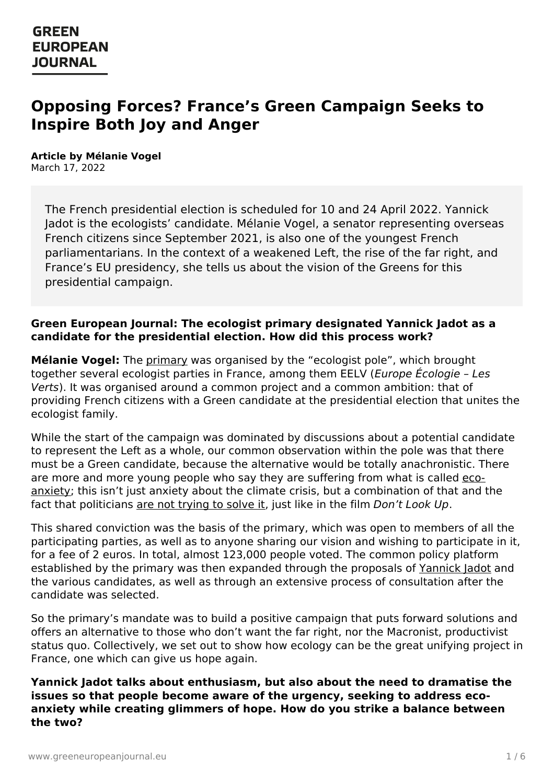# **Opposing Forces? France's Green Campaign Seeks to Inspire Both Joy and Anger**

**Article by Mélanie Vogel** March 17, 2022

The French presidential election is scheduled for 10 and 24 April 2022. Yannick Jadot is the ecologists' candidate. Mélanie Vogel, a senator representing overseas French citizens since September 2021, is also one of the youngest French parliamentarians. In the context of a weakened Left, the rise of the far right, and France's EU presidency, she tells us about the vision of the Greens for this presidential campaign.

#### **Green European Journal: The ecologist primary designated Yannick Jadot as a candidate for the presidential election. How did this process work?**

**Mélanie Vogel:** The [primary](https://www.greeneuropeanjournal.eu/french-greens-at-the-crossroads/) was organised by the "ecologist pole", which brought together several ecologist parties in France, among them EELV (Europe Écologie – Les Verts). It was organised around a common project and a common ambition: that of providing French citizens with a Green candidate at the presidential election that unites the ecologist family.

While the start of the campaign was dominated by discussions about a potential candidate to represent the Left as a whole, our common observation within the pole was that there must be a Green candidate, because the alternative would be totally anachronistic. There are more and more young people who say they are suffering from what is called ecoanxiety; this isn't just anxiety about the climate crisis, but a [combination](https://www.theguardian.com/society/2021/oct/06/eco-anxiety-fear-of-environmental-doom-weighs-on-young-people) of that and the fact that politicians are not [trying](https://www.greeneuropeanjournal.eu/adapt-or-else-what-the-latest-ipcc-report-means-for-europe-and-the-world/) to solve it, just like in the film Don't Look Up.

This shared conviction was the basis of the primary, which was open to members of all the participating parties, as well as to anyone sharing our vision and wishing to participate in it, for a fee of 2 euros. In total, almost 123,000 people voted. The common policy platform established by the primary was then expanded through the proposals of [Yannick](https://www.greeneuropeanjournal.eu/article-author/yannick-jadot/) Jadot and the various candidates, as well as through an extensive process of consultation after the candidate was selected.

So the primary's mandate was to build a positive campaign that puts forward solutions and offers an alternative to those who don't want the far right, nor the Macronist, productivist status quo. Collectively, we set out to show how ecology can be the great unifying project in [France,](https://www.greeneuropeanjournal.eu) one which can give us hope again.

**Yannick Jadot talks about enthusiasm, but also about the need to dramatise the issues so that people become aware of the urgency, seeking to address ecoanxiety while creating glimmers of hope. How do you strike a balance between the two?**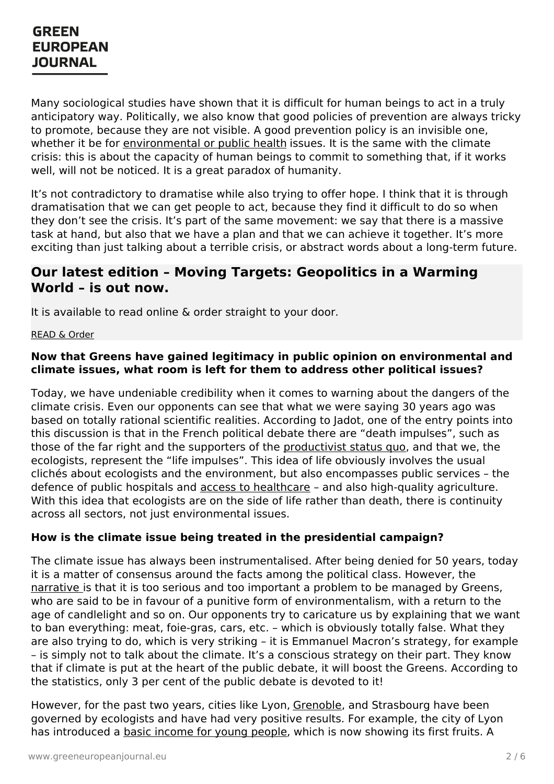Many sociological studies have shown that it is difficult for human beings to act in a truly anticipatory way. Politically, we also know that good policies of prevention are always tricky to promote, because they are not visible. A good prevention policy is an invisible one, whether it be for [environmental](https://www.greeneuropeanjournal.eu/health-and-the-environment-the-missing-pieces-for-an-agroecological-europe/) or public health issues. It is the same with the climate crisis: this is about the capacity of human beings to commit to something that, if it works well, will not be noticed. It is a great paradox of humanity.

It's not contradictory to dramatise while also trying to offer hope. I think that it is through dramatisation that we can get people to act, because they find it difficult to do so when they don't see the crisis. It's part of the same movement: we say that there is a massive task at hand, but also that we have a plan and that we can achieve it together. It's more exciting than just talking about a terrible crisis, or abstract words about a long-term future.

### **Our latest edition – Moving Targets: Geopolitics in a Warming World – is out now.**

It is available to read online & order straight to your door.

#### [READ](https://www.greeneuropeanjournal.eu/edition/moving-targets/) & Order

#### **Now that Greens have gained legitimacy in public opinion on environmental and climate issues, what room is left for them to address other political issues?**

Today, we have undeniable credibility when it comes to warning about the dangers of the climate crisis. Even our opponents can see that what we were saying 30 years ago was based on totally rational scientific realities. According to Jadot, one of the entry points into this discussion is that in the French political debate there are "death impulses", such as those of the far right and the supporters of the [productivist](https://www.greeneuropeanjournal.eu/degrowth-is-about-global-justice/) status quo, and that we, the ecologists, represent the "life impulses". This idea of life obviously involves the usual clichés about ecologists and the environment, but also encompasses public services – the defence of public hospitals and access to [healthcare](https://www.greeneuropeanjournal.eu/stronger-public-health-stronger-europe/) - and also high-quality agriculture. With this idea that ecologists are on the side of life rather than death, there is continuity across all sectors, not just environmental issues.

#### **How is the climate issue being treated in the presidential campaign?**

The climate issue has always been instrumentalised. After being denied for 50 years, today it is a matter of consensus around the facts among the political class. However, the [narrative](https://www.greeneuropeanjournal.eu/nationalising-the-climate-is-the-european-far-right-turning-green/) is that it is too serious and too important a problem to be managed by Greens, who are said to be in favour of a punitive form of environmentalism, with a return to the age of candlelight and so on. Our opponents try to caricature us by explaining that we want to ban everything: meat, foie-gras, cars, etc. – which is obviously totally false. What they are also trying to do, which is very striking – it is Emmanuel Macron's strategy, for example – is [simply](https://www.greeneuropeanjournal.eu) not to talk about the climate. It's a conscious strategy on their part. They know that if climate is put at the heart of the public debate, it will boost the Greens. According to the statistics, only 3 per cent of the public debate is devoted to it!

However, for the past two years, cities like Lyon, [Grenoble](https://www.greeneuropeanjournal.eu/the-eric-piolle-effect-grenobles-green-transition/), and Strasbourg have been governed by ecologists and have had very positive results. For example, the city of Lyon has introduced a basic [income](https://jumelages-partenariats.com/home/en/actualites.php?n=10740) for young people, which is now showing its first fruits. A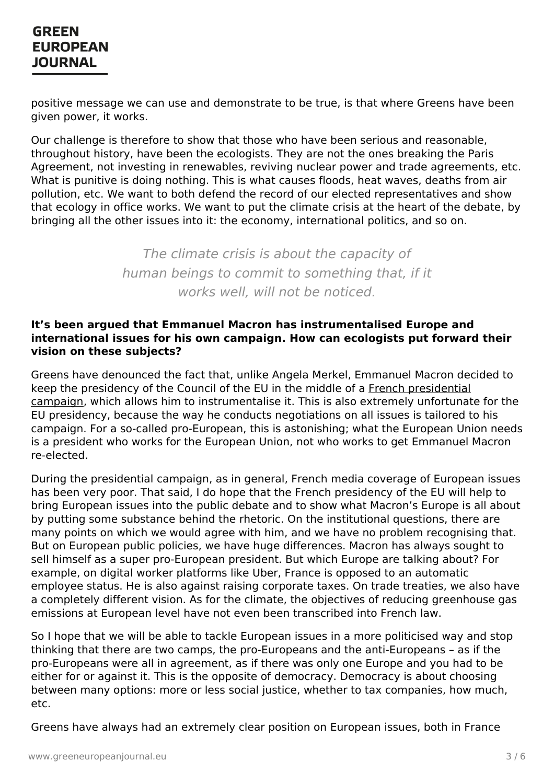positive message we can use and demonstrate to be true, is that where Greens have been given power, it works.

Our challenge is therefore to show that those who have been serious and reasonable, throughout history, have been the ecologists. They are not the ones breaking the Paris Agreement, not investing in renewables, reviving nuclear power and trade agreements, etc. What is punitive is doing nothing. This is what causes floods, heat waves, deaths from air pollution, etc. We want to both defend the record of our elected representatives and show that ecology in office works. We want to put the climate crisis at the heart of the debate, by bringing all the other issues into it: the economy, international politics, and so on.

> The climate crisis is about the capacity of human beings to commit to something that, if it works well, will not be noticed.

#### **It's been argued that Emmanuel Macron has instrumentalised Europe and international issues for his own campaign. How can ecologists put forward their vision on these subjects?**

Greens have denounced the fact that, unlike Angela Merkel, Emmanuel Macron decided to keep the presidency of the Council of the EU in the middle of a French presidential campaign, which allows him to [instrumentalise](https://www.euractiv.com/section/elections/special_report/french-presidential-election-where-does-europe-fit-into-all-this/) it. This is also extremely unfortunate for the EU presidency, because the way he conducts negotiations on all issues is tailored to his campaign. For a so-called pro-European, this is astonishing; what the European Union needs is a president who works for the European Union, not who works to get Emmanuel Macron re-elected.

During the presidential campaign, as in general, French media coverage of European issues has been very poor. That said, I do hope that the French presidency of the EU will help to bring European issues into the public debate and to show what Macron's Europe is all about by putting some substance behind the rhetoric. On the institutional questions, there are many points on which we would agree with him, and we have no problem recognising that. But on European public policies, we have huge differences. Macron has always sought to sell himself as a super pro-European president. But which Europe are talking about? For example, on digital worker platforms like Uber, France is opposed to an automatic employee status. He is also against raising corporate taxes. On trade treaties, we also have a completely different vision. As for the climate, the objectives of reducing greenhouse gas emissions at European level have not even been transcribed into French law.

So I hope that we will be able to tackle European issues in a more politicised way and stop thinking that there are two camps, the pro-Europeans and the anti-Europeans – as if the [pro-Europeans](https://www.greeneuropeanjournal.eu) were all in agreement, as if there was only one Europe and you had to be either for or against it. This is the opposite of democracy. Democracy is about choosing between many options: more or less social justice, whether to tax companies, how much, etc.

Greens have always had an extremely clear position on European issues, both in France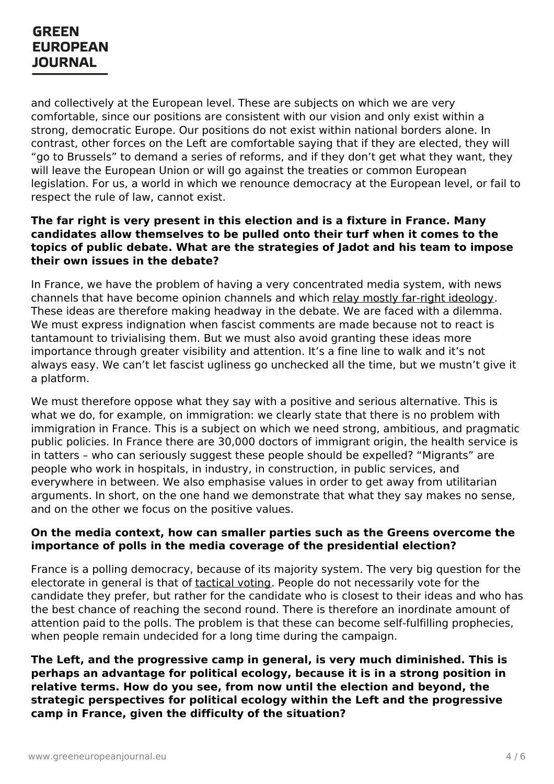and collectively at the European level. These are subjects on which we are very comfortable, since our positions are consistent with our vision and only exist within a strong, democratic Europe. Our positions do not exist within national borders alone. In contrast, other forces on the Left are comfortable saying that if they are elected, they will "go to Brussels" to demand a series of reforms, and if they don't get what they want, they will leave the European Union or will go against the treaties or common European legislation. For us, a world in which we renounce democracy at the European level, or fail to respect the rule of law, cannot exist.

#### **The far right is very present in this election and is a fixture in France. Many candidates allow themselves to be pulled onto their turf when it comes to the topics of public debate. What are the strategies of Jadot and his team to impose their own issues in the debate?**

In France, we have the problem of having a very concentrated media system, with news channels that have become opinion channels and which relay mostly far-right [ideology](https://www.greeneuropeanjournal.eu/the-presidential-election-has-come-to-resemble-social-media-dominique-bourg-on-the-french-elections/). These ideas are therefore making headway in the debate. We are faced with a dilemma. We must express indignation when fascist comments are made because not to react is tantamount to trivialising them. But we must also avoid granting these ideas more importance through greater visibility and attention. It's a fine line to walk and it's not always easy. We can't let fascist ugliness go unchecked all the time, but we mustn't give it a platform.

We must therefore oppose what they say with a positive and serious alternative. This is what we do, for example, on immigration: we clearly state that there is no problem with immigration in France. This is a subject on which we need strong, ambitious, and pragmatic public policies. In France there are 30,000 doctors of immigrant origin, the health service is in tatters – who can seriously suggest these people should be expelled? "Migrants" are people who work in hospitals, in industry, in construction, in public services, and everywhere in between. We also emphasise values in order to get away from utilitarian arguments. In short, on the one hand we demonstrate that what they say makes no sense, and on the other we focus on the positive values.

#### **On the media context, how can smaller parties such as the Greens overcome the importance of polls in the media coverage of the presidential election?**

France is a polling democracy, because of its majority system. The very big question for the electorate in general is that of [tactical](https://www.greeneuropeanjournal.eu/double-or-quits-looking-ahead-to-the-french-and-hungarian-elections/) voting. People do not necessarily vote for the candidate they prefer, but rather for the candidate who is closest to their ideas and who has the best chance of reaching the second round. There is therefore an inordinate amount of attention paid to the polls. The problem is that these can become self-fulfilling prophecies, when people remain undecided for a long time during the campaign.

#### **The Left, and the [progr](https://www.greeneuropeanjournal.eu)essive camp in general, is very much diminished. This is perhaps an advantage for political ecology, because it is in a strong position in relative terms. How do you see, from now until the election and beyond, the strategic perspectives for political ecology within the Left and the progressive camp in France, given the difficulty of the situation?**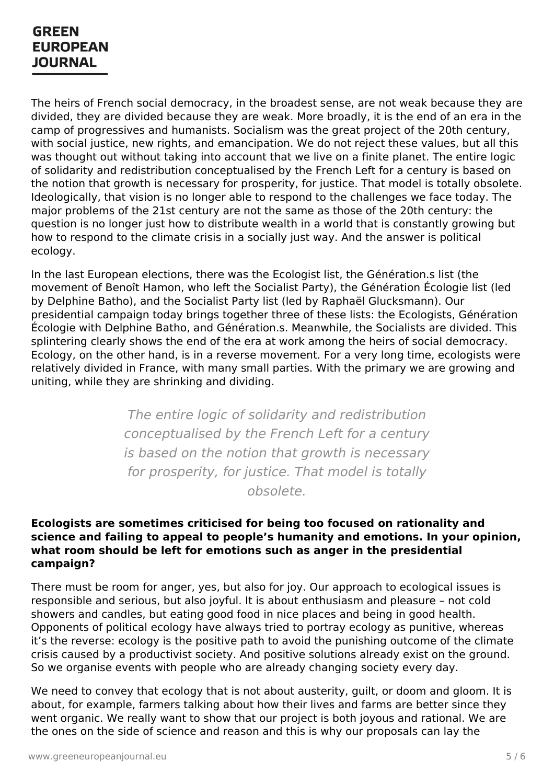The heirs of French social democracy, in the broadest sense, are not weak because they are divided, they are divided because they are weak. More broadly, it is the end of an era in the camp of progressives and humanists. Socialism was the great project of the 20th century, with social justice, new rights, and emancipation. We do not reject these values, but all this was thought out without taking into account that we live on a finite planet. The entire logic of solidarity and redistribution conceptualised by the French Left for a century is based on the notion that growth is necessary for prosperity, for justice. That model is totally obsolete. Ideologically, that vision is no longer able to respond to the challenges we face today. The major problems of the 21st century are not the same as those of the 20th century: the question is no longer just how to distribute wealth in a world that is constantly growing but how to respond to the climate crisis in a socially just way. And the answer is political ecology.

In the last European elections, there was the Ecologist list, the Génération.s list (the movement of Benoît Hamon, who left the Socialist Party), the Génération Écologie list (led by Delphine Batho), and the Socialist Party list (led by Raphaël Glucksmann). Our presidential campaign today brings together three of these lists: the Ecologists, Génération Écologie with Delphine Batho, and Génération.s. Meanwhile, the Socialists are divided. This splintering clearly shows the end of the era at work among the heirs of social democracy. Ecology, on the other hand, is in a reverse movement. For a very long time, ecologists were relatively divided in France, with many small parties. With the primary we are growing and uniting, while they are shrinking and dividing.

> The entire logic of solidarity and redistribution conceptualised by the French Left for a century is based on the notion that growth is necessary for prosperity, for justice. That model is totally obsolete.

#### **Ecologists are sometimes criticised for being too focused on rationality and science and failing to appeal to people's humanity and emotions. In your opinion, what room should be left for emotions such as anger in the presidential campaign?**

There must be room for anger, yes, but also for joy. Our approach to ecological issues is responsible and serious, but also joyful. It is about enthusiasm and pleasure – not cold showers and candles, but eating good food in nice places and being in good health. Opponents of political ecology have always tried to portray ecology as punitive, whereas it's the reverse: ecology is the positive path to avoid the punishing outcome of the climate crisis [caused](https://www.greeneuropeanjournal.eu) by a productivist society. And positive solutions already exist on the ground. So we organise events with people who are already changing society every day.

We need to convey that ecology that is not about austerity, guilt, or doom and gloom. It is about, for example, farmers talking about how their lives and farms are better since they went organic. We really want to show that our project is both joyous and rational. We are the ones on the side of science and reason and this is why our proposals can lay the